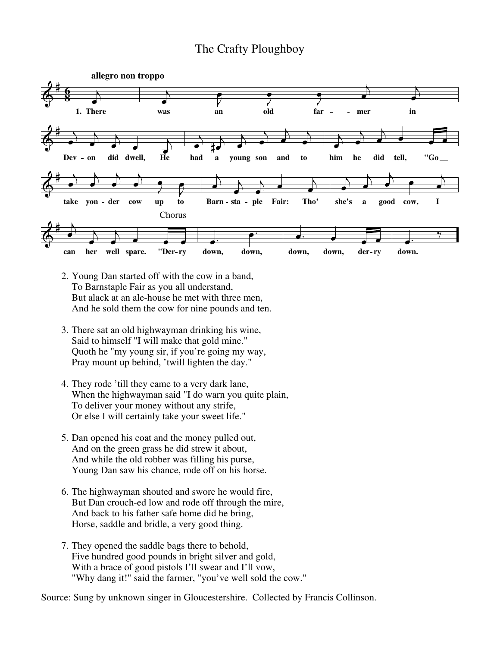## The Crafty Ploughboy



- 2. Young Dan started off with the cow in a band, To Barnstaple Fair as you all understand, But alack at an ale-house he met with three men, And he sold them the cow for nine pounds and ten.
- 3. There sat an old highwayman drinking his wine, Said to himself "I will make that gold mine." Quoth he "my young sir, if you're going my way, Pray mount up behind, 'twill lighten the day."
- 4. They rode 'till they came to a very dark lane, When the highwayman said "I do warn you quite plain, To deliver your money without any strife, Or else I will certainly take your sweet life."
- 5. Dan opened his coat and the money pulled out, And on the green grass he did strew it about, And while the old robber was filling his purse, Young Dan saw his chance, rode off on his horse.
- 6. The highwayman shouted and swore he would fire, But Dan crouch-ed low and rode off through the mire, And back to his father safe home did he bring, Horse, saddle and bridle, a very good thing.
- 7. They opened the saddle bags there to behold, Five hundred good pounds in bright silver and gold, With a brace of good pistols I'll swear and I'll vow, "Why dang it!" said the farmer, "you've well sold the cow."

Source: Sung by unknown singer in Gloucestershire. Collected by Francis Collinson.